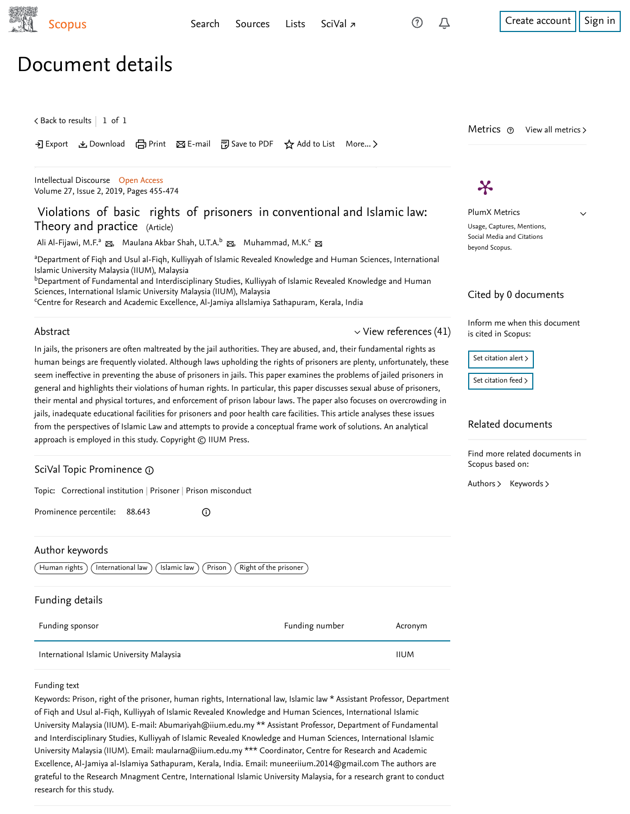$\checkmark$ 

# Document details

 $\zeta$  [Back to results](https://www-scopus-com.ezproxy.um.edu.my/results/results.uri?sort=plf-f&src=s&st1=Violations+of+Basic+Rights+of+Prisoners&st2=&sid=5cae3e5012e0f514e51df29e7e7ec118&sot=b&sdt=b&sl=46&s=TITLE%28Violations+of+Basic+Rights+of+Prisoners%29&offset=1&origin=recordpage)  $\vert\,$   $\,$  1 of  $\,$  1  $\,$ 

Download 日 Print A E-mail 『別 Save to PDF ☆ Add to List More... >

[Intellectual Discourse](https://www-scopus-com.ezproxy.um.edu.my/sourceid/5600156881?origin=recordpage) Open Access Volume 27, Issue 2, 2019, Pages 455-474

# Violations of basic rights of prisoners in conventional and Islamic law: Theory and practice (Article)

[Ali Al-Fijawi, M.F.](https://www-scopus-com.ezproxy.um.edu.my/authid/detail.uri?authorId=57207781233&eid=2-s2.0-85077897886)ª <sub>⊠</sub>, [Maulana Akbar Shah, U.T.A.](https://www-scopus-com.ezproxy.um.edu.my/authid/detail.uri?authorId=57213608869&eid=2-s2.0-85077897886)<sup>b</sup> ⊠, [Muhammad, M.K.](https://www-scopus-com.ezproxy.um.edu.my/authid/detail.uri?authorId=57202258797&eid=2-s2.0-85077897886)<sup>c</sup> ⊠

<sup>a</sup>Department of Fiqh and Usul al-Fiqh, Kulliyyah of Islamic Revealed Knowledge and Human Sciences, International Islamic University Malaysia (IIUM), Malaysia

 $^{\rm b}$ Department of Fundamental and Interdisciplinary Studies, Kulliyyah of Islamic Revealed Knowledge and Human  $\,$ Sciences, International Islamic University Malaysia (IIUM), Malaysia

Centre for Research and Academic Excellence, Al-Jamiya alIslamiya Sathapuram, Kerala, India

### Abstract

# $\vee$  [View references \(41\)](#page-1-0)

In jails, the prisoners are often maltreated by the jail authorities. They are abused, and, their fundamental rights as human beings are frequently violated. Although laws upholding the rights of prisoners are plenty, unfortunately, these seem ineffective in preventing the abuse of prisoners in jails. This paper examines the problems of jailed prisoners in general and highlights their violations of human rights. In particular, this paper discusses sexual abuse of prisoners, their mental and physical tortures, and enforcement of prison labour laws. The paper also focuses on overcrowding in jails, inadequate educational facilities for prisoners and poor health care facilities. This article analyses these issues from the perspectives of Islamic Law and attempts to provide a conceptual frame work of solutions. An analytical approach is employed in this study. Copyright © IIUM Press.

# SciVal Topic Prominence

Topic: Correctional institution | Prisoner | Prison misconduct

Prominence percentile: 88.643

# Author keywords

Human rights  $\bigcap$  International law  $\bigcap$  Islamic law  $\bigcap$  Prison  $\bigcap$  Right of the prisoner

 $^{\circ}$ 

### Funding details

| Funding sponsor                           | Funding number | Acronym     |
|-------------------------------------------|----------------|-------------|
| International Islamic University Malaysia |                | <b>IIUM</b> |

#### Funding text

Keywords: Prison, right of the prisoner, human rights, International law, Islamic law \* Assistant Professor, Department of Fiqh and Usul al-Fiqh, Kulliyyah of Islamic Revealed Knowledge and Human Sciences, International Islamic University Malaysia (IIUM). E-mail: Abumariyah@iium.edu.my \*\* Assistant Professor, Department of Fundamental and Interdisciplinary Studies, Kulliyyah of Islamic Revealed Knowledge and Human Sciences, International Islamic University Malaysia (IIUM). Email: maularna@iium.edu.my \*\*\* Coordinator, Centre for Research and Academic Excellence, Al-Jamiya al-Islamiya Sathapuram, Kerala, India. Email: muneeriium.2014@gmail.com The authors are grateful to the Research Mnagment Centre, International Islamic University Malaysia, for a research grant to conduct research for this study.



PlumX Metrics Usage, Captures, Mentions, Social Media and Citations beyond Scopus.

Metrics  $\circledcirc$  View all metrics >

## Cited by 0 documents

Inform me when this document is cited in Scopus:

Set citation alert >

[Set citation feed](https://www-scopus-com.ezproxy.um.edu.my/results/rss/handler.uri?citeEid=2-s2.0-85077897886) >

### Related documents

Find more related documents in Scopus based on:

[Authors](https://www-scopus-com.ezproxy.um.edu.my/search/submit/mlt.uri?eid=2-s2.0-85077897886&src=s&all=true&origin=recordpage&method=aut&zone=relatedDocuments) > [Keywords](https://www-scopus-com.ezproxy.um.edu.my/search/submit/mlt.uri?eid=2-s2.0-85077897886&src=s&all=true&origin=recordpage&method=key&zone=relatedDocuments) >